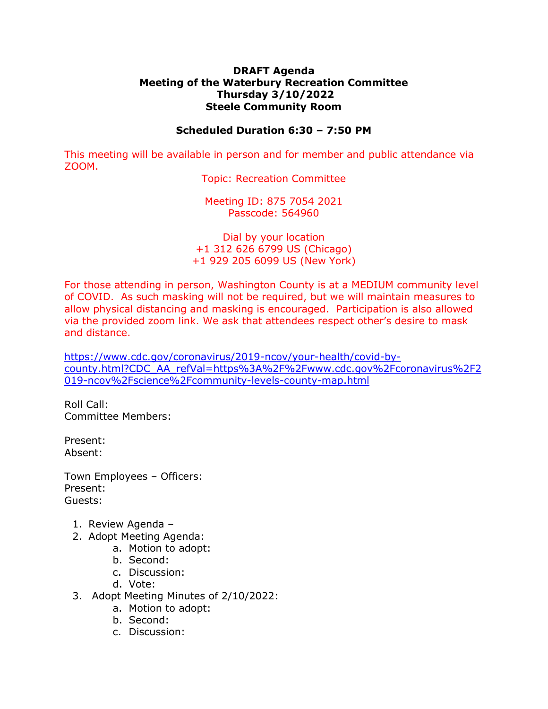## **DRAFT Agenda Meeting of the Waterbury Recreation Committee Thursday 3/10/2022 Steele Community Room**

## **Scheduled Duration 6:30 – 7:50 PM**

This meeting will be available in person and for member and public attendance via ZOOM.

Topic: Recreation Committee

Meeting ID: 875 7054 2021 Passcode: 564960

Dial by your location +1 312 626 6799 US (Chicago) +1 929 205 6099 US (New York)

For those attending in person, Washington County is at a MEDIUM community level of COVID. As such masking will not be required, but we will maintain measures to allow physical distancing and masking is encouraged. Participation is also allowed via the provided zoom link. We ask that attendees respect other's desire to mask and distance.

[https://www.cdc.gov/coronavirus/2019-ncov/your-health/covid-by](https://www.cdc.gov/coronavirus/2019-ncov/your-health/covid-by-county.html?CDC_AA_refVal=https%3A%2F%2Fwww.cdc.gov%2Fcoronavirus%2F2019-ncov%2Fscience%2Fcommunity-levels-county-map.html)[county.html?CDC\\_AA\\_refVal=https%3A%2F%2Fwww.cdc.gov%2Fcoronavirus%2F2](https://www.cdc.gov/coronavirus/2019-ncov/your-health/covid-by-county.html?CDC_AA_refVal=https%3A%2F%2Fwww.cdc.gov%2Fcoronavirus%2F2019-ncov%2Fscience%2Fcommunity-levels-county-map.html) [019-ncov%2Fscience%2Fcommunity-levels-county-map.html](https://www.cdc.gov/coronavirus/2019-ncov/your-health/covid-by-county.html?CDC_AA_refVal=https%3A%2F%2Fwww.cdc.gov%2Fcoronavirus%2F2019-ncov%2Fscience%2Fcommunity-levels-county-map.html)

Roll Call: Committee Members:

Present: Absent:

Town Employees – Officers: Present: Guests:

- 1. Review Agenda –
- 2. Adopt Meeting Agenda:
	- a. Motion to adopt:
	- b. Second:
	- c. Discussion:
	- d. Vote:
- 3. Adopt Meeting Minutes of 2/10/2022:
	- a. Motion to adopt:
	- b. Second:
	- c. Discussion: